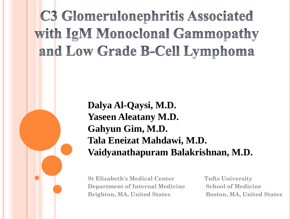# **C3 Glomerulonephritis Associated** with IgM Monoclonal Gammopathy and Low Grade B-Cell Lymphoma

**Dalya Al-Qaysi, M.D. Yaseen Aleatany M.D. Gahyun Gim, M.D. Tala Eneizat Mahdawi, M.D. Vaidyanathapuram Balakrishnan, M.D.**

**St Elizabeth's Medical Center Tufts University Department of Internal Medicine School of Medicine Brighton, MA, United States Boston, MA, United States**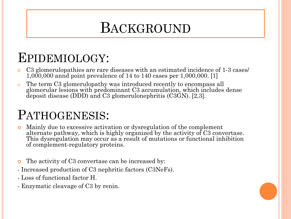## BACKGROUND

## EPIDEMIOLOGY:

- o C3 glomerulopathies are rare diseases with an estimated incidence of 1-3 cases/ 1,000,000 annd point prevalence of 14 to 140 cases per 1,000,000. [1]
- <sup>o</sup> The term C3 glomerulopathy was introduced recently to encompass all glomerular lesions with predominant C3 accumulation, which includes dense deposit disease (DDD) and C3 glomerulonephritis (C3GN). [2,3].

## PATHOGENESIS:

- Mainly due to excessive activation or dysregulation of the complement alternate pathway, which is highly organized by the activity of C3 convertase. This dysregulation may occur as a result of mutations or functional inhibition of complement-regulatory proteins.
- The activity of C3 convertase can be increased by:
- Increased production of C3 nephritic factors (C3NeFs).
- Loss of functional factor H.
- Enzymatic cleavage of C3 by renin.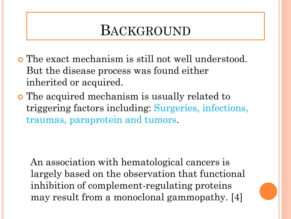## BACKGROUND

- The exact mechanism is still not well understood. But the disease process was found either inherited or acquired.
- The acquired mechanism is usually related to triggering factors including: Surgeries, infections, traumas, paraprotein and tumors.

An association with hematological cancers is largely based on the observation that functional inhibition of complement-regulating proteins may result from a monoclonal gammopathy. [4]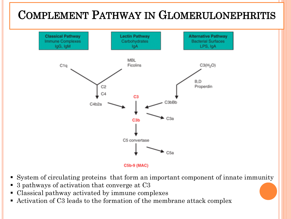### **COMPLEMENT PATHWAY IN GLOMERULONEPHRITIS**



- System of circulating proteins that form an important component of innate immunity
- 3 pathways of activation that converge at C3
- Classical pathway activated by immune complexes
- Activation of C3 leads to the formation of the membrane attack complex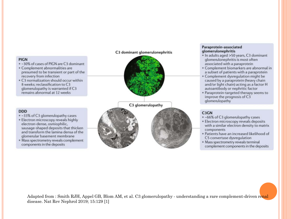#### **PIGN**

- . 30% of cases of PIGN are C3 dominant
- Complement abnormalities are presumed to be transient or part of the recovery from infection
- C3 normalization should occur within 8 weeks; reclassification to C3 glomerulopathy is warranted if C3 remains abnormal at 12 weeks

#### **DDD**

- . -33% of C3 glomerulopathy cases
- · Electron microscopy reveals highly electron-dense, osmiophilic. sausage-shaped deposits that thicken and transform the lamina densa of the glomerular basement membrane
- · Mass spectrometry reveals complement components in the deposits

#### C3 dominant glomerulonephritis



#### Paraprotein-associated glomerulonephritis

- · In adults aged >50 years, C3 dominant glomerulonephritis is most often associated with a paraprotein
- Complement biomarkers are abnormal in a subset of patients with a paraprotein
- · Complement dysregulation might be caused by a paraprotein (heavy chain and/or light chain) acting as a factor H autoantibody or nephritic factor
- · Paraprotein-targeted therapy seems to improve the prognosis of C3 glomenuopathy

#### C<sub>3</sub>GN

- . ~66% of C3 glomerulopathy cases
- · Electron microscopy reveals deposits with a similar electron density to matrix **components**
- · Patients have an increased likelihood of C5 convertase dysregulation
- · Mass spectrometry reveals terminal complement components in the deposits

Adapted from : Smith RJH, Appel GB, Blom AM, et al. C3 glomerulopathy - understanding a rare complement-driven renal disease. Nat Rev Nephrol 2019; 15:129 [1]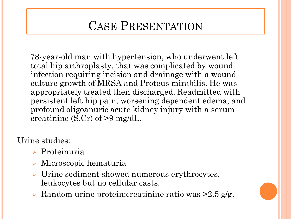### CASE PRESENTATION

78-year-old man with hypertension, who underwent left total hip arthroplasty, that was complicated by wound infection requiring incision and drainage with a wound culture growth of MRSA and Proteus mirabilis. He was appropriately treated then discharged. Readmitted with persistent left hip pain, worsening dependent edema, and profound oligoanuric acute kidney injury with a serum creatinine (S.Cr) of >9 mg/dL.

Urine studies:

- Proteinuria
- Microscopic hematuria
- > Urine sediment showed numerous erythrocytes, leukocytes but no cellular casts.
- $\triangleright$  Random urine protein: creatinine ratio was  $\geq 2.5$  g/g.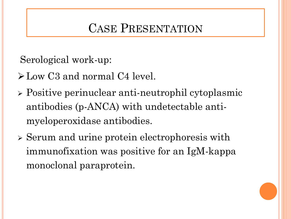### CASE PRESENTATION

Serological work-up:

- $\blacktriangleright$  Low C3 and normal C4 level.
- Positive perinuclear anti-neutrophil cytoplasmic antibodies (p-ANCA) with undetectable antimyeloperoxidase antibodies.
- Serum and urine protein electrophoresis with immunofixation was positive for an IgM-kappa monoclonal paraprotein.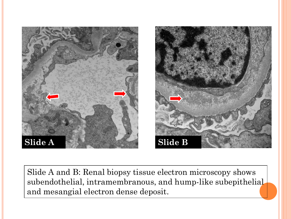

Slide A and B: Renal biopsy tissue electron microscopy shows subendothelial, intramembranous, and hump-like subepithelial and mesangial electron dense deposit.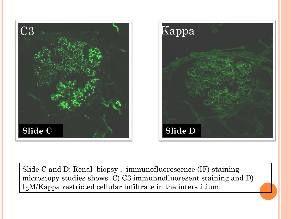



Slide C and D: Renal biopsy , immunofluorescence (IF) staining microscopy studies shows C) C3 immunnofluoresent staining and D) IgM/Kappa restricted cellular infiltrate in the interstitium.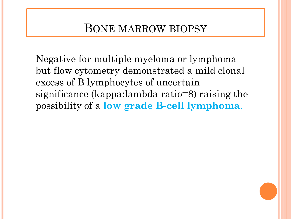### BONE MARROW BIOPSY

Negative for multiple myeloma or lymphoma but flow cytometry demonstrated a mild clonal excess of B lymphocytes of uncertain significance (kappa:lambda ratio=8) raising the possibility of a **low grade B-cell lymphoma**.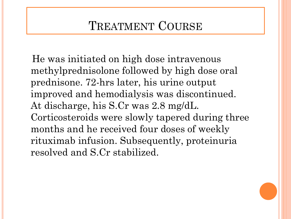### TREATMENT COURSE

He was initiated on high dose intravenous methylprednisolone followed by high dose oral prednisone. 72-hrs later, his urine output improved and hemodialysis was discontinued. At discharge, his S.Cr was 2.8 mg/dL. Corticosteroids were slowly tapered during three months and he received four doses of weekly rituximab infusion. Subsequently, proteinuria resolved and S.Cr stabilized.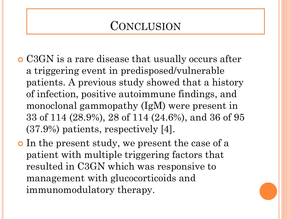### **CONCLUSION**

- C3GN is a rare disease that usually occurs after a triggering event in predisposed/vulnerable patients. A previous study showed that a history of infection, positive autoimmune findings, and monoclonal gammopathy (IgM) were present in 33 of 114 (28.9%), 28 of 114 (24.6%), and 36 of 95 (37.9%) patients, respectively [4].
- In the present study, we present the case of a patient with multiple triggering factors that resulted in C3GN which was responsive to management with glucocorticoids and immunomodulatory therapy.